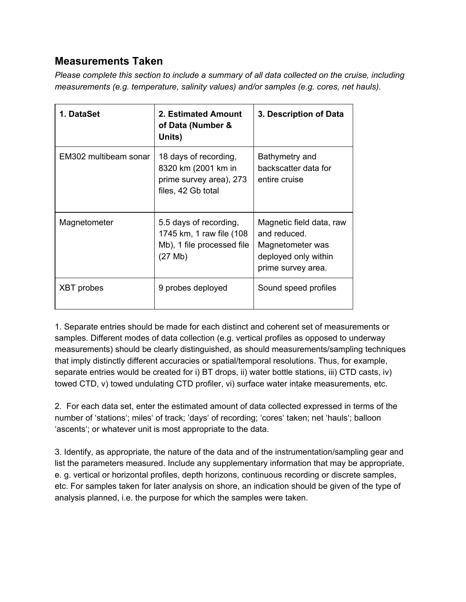## **Measurements Taken**

*Please complete this section to include a summary of all data collected on the cruise, including measurements (e.g. temperature, salinity values) and/or samples (e.g. cores, net hauls).*

| 1. DataSet            | 2. Estimated Amount<br>of Data (Number &<br>Units)                                            | 3. Description of Data                                                                                     |  |
|-----------------------|-----------------------------------------------------------------------------------------------|------------------------------------------------------------------------------------------------------------|--|
| EM302 multibeam sonar | 18 days of recording,<br>8320 km (2001 km in<br>prime survey area), 273<br>files, 42 Gb total | Bathymetry and<br>backscatter data for<br>entire cruise                                                    |  |
| Magnetometer          | 5.5 days of recording,<br>1745 km, 1 raw file (108)<br>Mb), 1 file processed file<br>(27 Mb)  | Magnetic field data, raw<br>and reduced.<br>Magnetometer was<br>deployed only within<br>prime survey area. |  |
| <b>XBT</b> probes     | 9 probes deployed                                                                             | Sound speed profiles                                                                                       |  |

1. Separate entries should be made for each distinct and coherent set of measurements or samples. Different modes of data collection (e.g. vertical profiles as opposed to underway measurements) should be clearly distinguished, as should measurements/sampling techniques that imply distinctly different accuracies or spatial/temporal resolutions. Thus, for example, separate entries would be created for i) BT drops, ii) water bottle stations, iii) CTD casts, iv) towed CTD, v) towed undulating CTD profiler, vi) surface water intake measurements, etc.

2. For each data set, enter the estimated amount of data collected expressed in terms of the number of 'stations'; miles' of track; 'days' of recording; 'cores' taken; net 'hauls'; balloon 'ascents'; or whatever unit is most appropriate to the data.

3. Identify, as appropriate, the nature of the data and of the instrumentation/sampling gear and list the parameters measured. Include any supplementary information that may be appropriate, e. g. vertical or horizontal profiles, depth horizons, continuous recording or discrete samples, etc. For samples taken for later analysis on shore, an indication should be given of the type of analysis planned, i.e. the purpose for which the samples were taken.